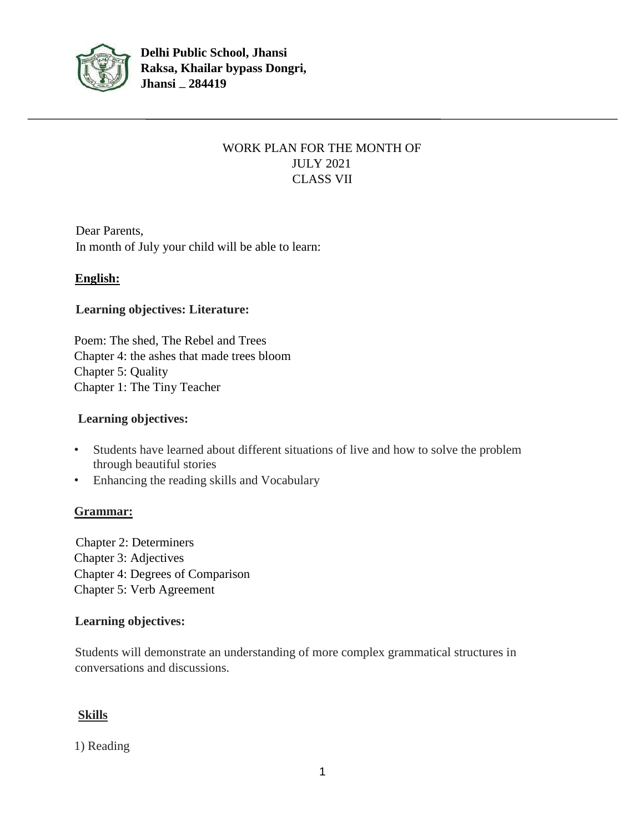

## WORK PLAN FOR THE MONTH OF JULY 2021 CLASS VII

Dear Parents, In month of July your child will be able to learn:

## **English:**

### **Learning objectives: Literature:**

Poem: The shed, The Rebel and Trees Chapter 4: the ashes that made trees bloom Chapter 5: Quality Chapter 1: The Tiny Teacher

#### **Learning objectives:**

- Students have learned about different situations of live and how to solve the problem through beautiful stories
- Enhancing the reading skills and Vocabulary

## **Grammar:**

Chapter 2: Determiners Chapter 3: Adjectives Chapter 4: Degrees of Comparison Chapter 5: Verb Agreement

## **Learning objectives:**

Students will demonstrate an understanding of more complex grammatical structures in conversations and discussions.

## **Skills**

#### 1) Reading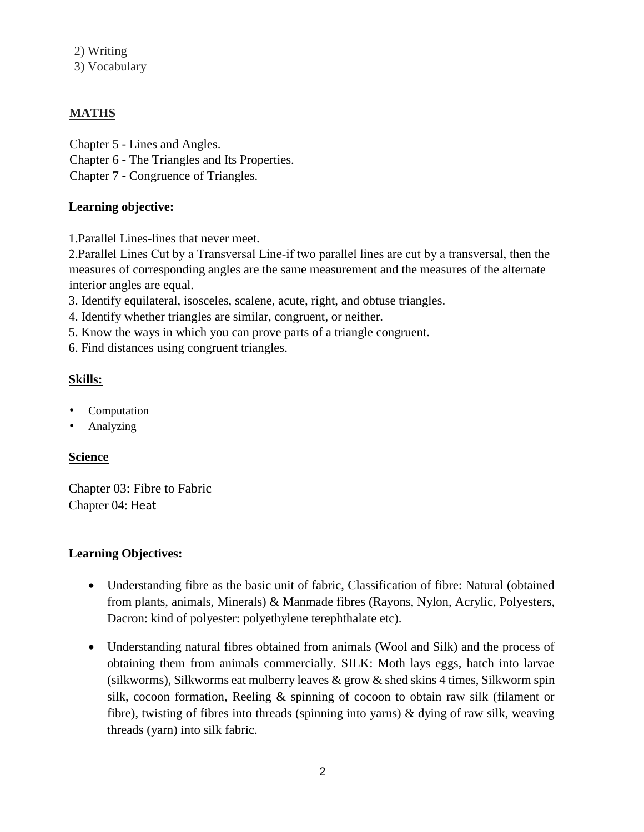2) Writing 3) Vocabulary

## **MATHS**

- Chapter 5 Lines and Angles.
- Chapter 6 The Triangles and Its Properties.
- Chapter 7 Congruence of Triangles.

## **Learning objective:**

1.Parallel Lines-lines that never meet.

2.Parallel Lines Cut by a Transversal Line‐if two parallel lines are cut by a transversal, then the measures of corresponding angles are the same measurement and the measures of the alternate interior angles are equal.

- 3. Identify equilateral, isosceles, scalene, acute, right, and obtuse triangles.
- 4. Identify whether triangles are similar, congruent, or neither.
- 5. Know the ways in which you can prove parts of a triangle congruent.
- 6. Find distances using congruent triangles.

## **Skills:**

- Computation
- Analyzing

## **Science**

Chapter 03: Fibre to Fabric Chapter 04: Heat

## **Learning Objectives:**

- Understanding fibre as the basic unit of fabric, Classification of fibre: Natural (obtained from plants, animals, Minerals) & Manmade fibres (Rayons, Nylon, Acrylic, Polyesters, Dacron: kind of polyester: polyethylene terephthalate etc).
- Understanding natural fibres obtained from animals (Wool and Silk) and the process of obtaining them from animals commercially. SILK: Moth lays eggs, hatch into larvae (silkworms), Silkworms eat mulberry leaves  $\&$  grow  $\&$  shed skins 4 times, Silkworm spin silk, cocoon formation, Reeling & spinning of cocoon to obtain raw silk (filament or fibre), twisting of fibres into threads (spinning into yarns) & dying of raw silk, weaving threads (yarn) into silk fabric.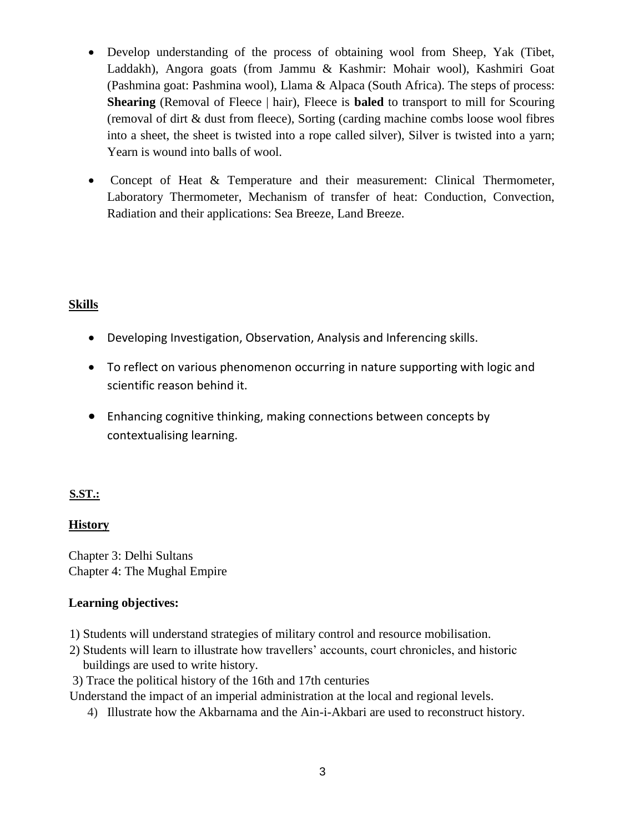- Develop understanding of the process of obtaining wool from Sheep, Yak (Tibet, Laddakh), Angora goats (from Jammu & Kashmir: Mohair wool), Kashmiri Goat (Pashmina goat: Pashmina wool), Llama & Alpaca (South Africa). The steps of process: **Shearing** (Removal of Fleece | hair), Fleece is **baled** to transport to mill for Scouring (removal of dirt & dust from fleece), Sorting (carding machine combs loose wool fibres into a sheet, the sheet is twisted into a rope called silver), Silver is twisted into a yarn; Yearn is wound into balls of wool.
- Concept of Heat & Temperature and their measurement: Clinical Thermometer, Laboratory Thermometer, Mechanism of transfer of heat: Conduction, Convection, Radiation and their applications: Sea Breeze, Land Breeze.

### **Skills**

- Developing Investigation, Observation, Analysis and Inferencing skills.
- To reflect on various phenomenon occurring in nature supporting with logic and scientific reason behind it.
- Enhancing cognitive thinking, making connections between concepts by contextualising learning.

#### **S.ST.:**

#### **History**

Chapter 3: Delhi Sultans Chapter 4: The Mughal Empire

#### **Learning objectives:**

- 1) Students will understand strategies of military control and resource mobilisation.
- 2) Students will learn to illustrate how travellers' accounts, court chronicles, and historic buildings are used to write history.
- 3) Trace the political history of the 16th and 17th centuries

Understand the impact of an imperial administration at the local and regional levels.

4) Illustrate how the Akbarnama and the Ain-i-Akbari are used to reconstruct history.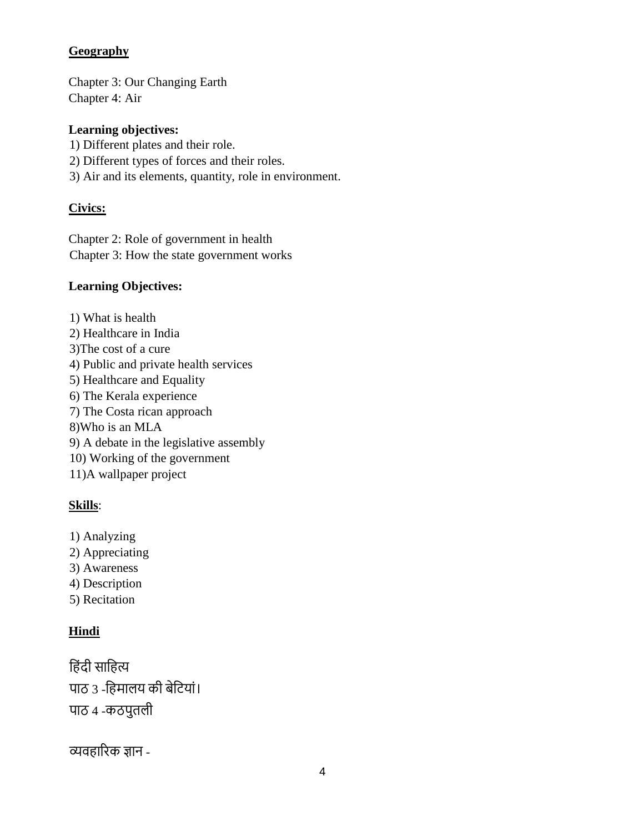### **Geography**

Chapter 3: Our Changing Earth Chapter 4: Air

### **Learning objectives:**

- 1) Different plates and their role.
- 2) Different types of forces and their roles.
- 3) Air and its elements, quantity, role in environment.

### **Civics:**

Chapter 2: Role of government in health Chapter 3: How the state government works

### **Learning Objectives:**

- 1) What is health
- 2) Healthcare in India
- 3)The cost of a cure
- 4) Public and private health services
- 5) Healthcare and Equality
- 6) The Kerala experience
- 7) The Costa rican approach
- 8)Who is an MLA
- 9) A debate in the legislative assembly
- 10) Working of the government
- 11)A wallpaper project

## **Skills**:

- 1) Analyzing
- 2) Appreciating
- 3) Awareness
- 4) Description
- 5) Recitation

## **Hindi**

हिंदी साहित्य पाठ ३ -हिमालय की बेटियां। पाठ 4 -कठपुतली

व्यवहारिक ज्ञान -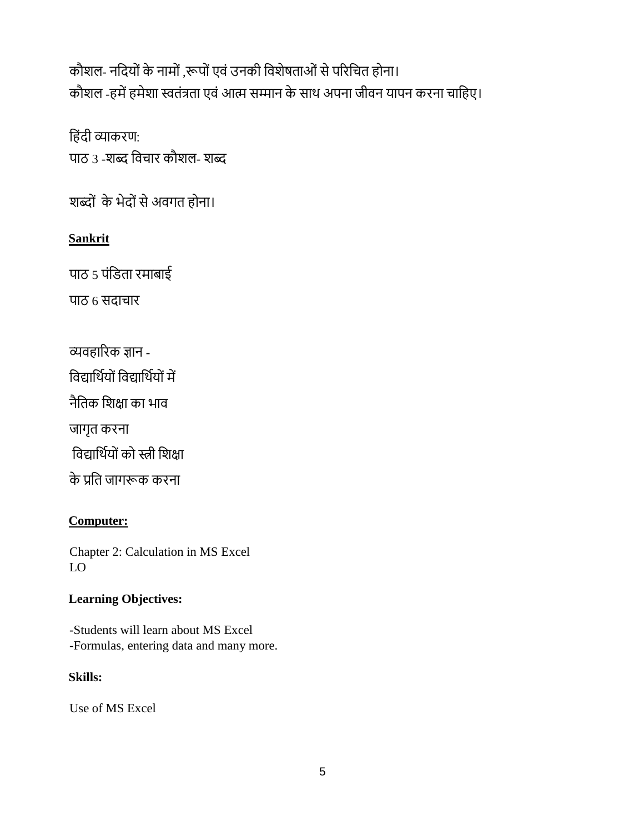कौशल- नदियों के नामों ,रूपों एवं उनकी विशेषताओं से परिचित होना। कौशल -हमें हमेशा स्वतंत्रता एवं आत्म सम्मान के साथ अपना जीवन यापन करना चाहिए।

हिंदी व्याकरण: पाठ 3 -शब्द विचार कौशल- शब्द

शब्दों के भेदों से अवगत होना।

# **Sankrit**

पाठ  $5$  पंडिता रमाबाई

पाठ 6 सदाचार

व्यवहारिक ज्ञान -

विद्यार्थियों विद्यार्थियों में

नैहतक हशक्षा का भाव

जागृत किना

विद्यार्थियों को स्त्री शिक्षा

के प्रहत जागरूक किना

## **Computer:**

Chapter 2: Calculation in MS Excel LO

## **Learning Objectives:**

-Students will learn about MS Excel -Formulas, entering data and many more.

## **Skills:**

Use of MS Excel